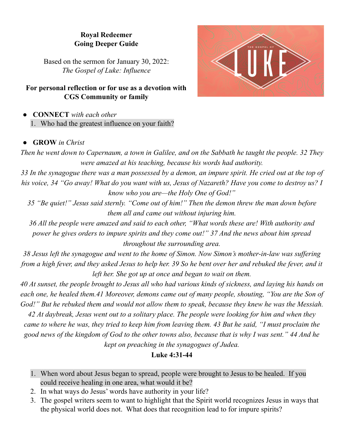## **Royal Redeemer Going Deeper Guide**

Based on the sermon for January 30, 2022: *The Gospel of Luke: Influence*

#### **For personal reflection or for use as a devotion with CGS Community or family**



#### **● GROW** *in Christ*

Then he went down to Capernaum, a town in Galilee, and on the Sabbath he taught the people. 32 They *were amazed at his teaching, because his words had authority.*

33 In the synagogue there was a man possessed by a demon, an impure spirit. He cried out at the top of his voice, 34 "Go away! What do you want with us, Jesus of Nazareth? Have you come to destroy us? I *know who you are—the Holy One of God!"*

*35 "Be quiet!" Jesus said sternly. "Come out of him!" Then the demon threw the man down before them all and came out without injuring him.*

*36 All the people were amazed and said to each other, "What words these are! With authority and power he gives orders to impure spirits and they come out!" 37 And the news about him spread throughout the surrounding area.*

*38 Jesus left the synagogue and went to the home of Simon. Now Simon's mother-in-law was suf ering* from a high fever, and they asked Jesus to help her. 39 So he bent over her and rebuked the fever, and it *left her. She got up at once and began to wait on them.*

40 At sunset, the people brought to Jesus all who had various kinds of sickness, and laying his hands on each one, he healed them.41 Moreover, demons came out of many people, shouting, "You are the Son of God!" But he rebuked them and would not allow them to speak, because they knew he was the Messiah.

42 At daybreak, Jesus went out to a solitary place. The people were looking for him and when they came to where he was, they tried to keep him from leaving them. 43 But he said, "I must proclaim the good news of the kingdom of God to the other towns also, because that is why I was sent." 44 And he *kept on preaching in the synagogues of Judea.*

## **Luke 4:31-44**

- 1. When word about Jesus began to spread, people were brought to Jesus to be healed. If you could receive healing in one area, what would it be?
- 2. In what ways do Jesus' words have authority in your life?
- 3. The gospel writers seem to want to highlight that the Spirit world recognizes Jesus in ways that the physical world does not. What does that recognition lead to for impure spirits?